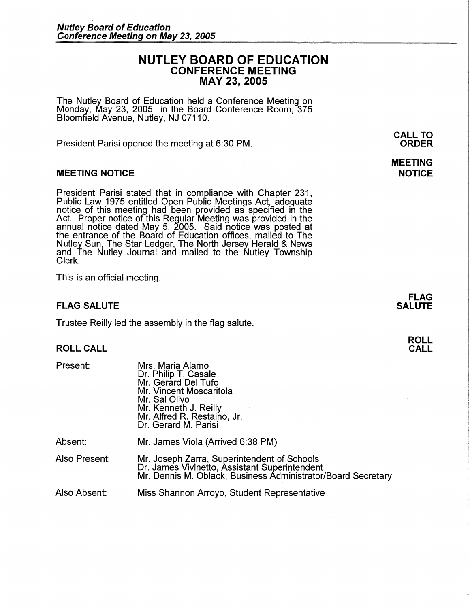# **NUTLEY BOARD OF EDUCATION CONFERENCE MEETING MAY 23, 2005**

The Nutley Board of Education held a Conference Meeting on Monday, May 23, 2005 in the Board Conference Room, 375 Bloomfield Avenue, Nutley, NJ 07110.

President Parisi opened the meeting at 6:30 PM.

### **MEETING NOTICE**

President Parisi stated that in compliance with Chapter 231, Public Law 1975 entitled Open Pubflc Meetings Act, adequate notice of this meeting had been provided as specified in the Act. Proper notice of this Regular Meeting was provided in the annual notice dated May 5, 2005. Said notice was posted at the entrance of the Board of Education offices, mailed to The Nutley Sun, The Star Ledger, The North Jersey Herald & News and The Nutley Journal and mailed to the Nutley Township Clerk.

This is an official meeting.

### **FLAG SALUTE**

Trustee Reilly led the assembly in the flag salute.

### **ROLL CALL**

| Present: |  |
|----------|--|
|----------|--|

| Present:      | Mrs. Maria Alamo<br>Dr. Philip T. Casale<br>Mr. Gerard Del Tufo<br>Mr. Vincent Moscaritola<br>Mr. Sal Olivo<br>Mr. Kenneth J. Reilly<br>Mr. Alfred R. Restaino, Jr.<br>Dr. Gerard M. Parisi |
|---------------|---------------------------------------------------------------------------------------------------------------------------------------------------------------------------------------------|
| Absent:       | Mr. James Viola (Arrived 6:38 PM)                                                                                                                                                           |
| Also Present: | Mr. Joseph Zarra, Superintendent of Schools<br>Dr. James Vivinetto, Assistant Superintendent                                                                                                |

Mr. Dennis M. Oblack, Business Administrator/Board Secretary

Also Absent: Miss Shannon Arroyo, Student Representative

**CALL TO ORDER** 

## **MEETING NOTICE**

**FLAG SALUTE** 

> **ROLL CALL**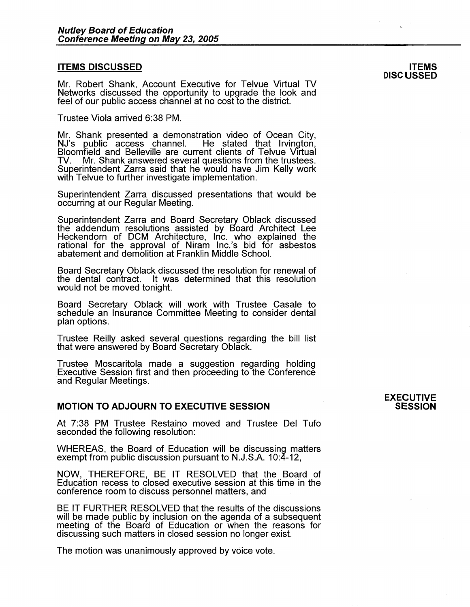#### **ITEMS DISCUSSED**

Mr. Robert Shank, Account Executive for Telvue Virtual TV Networks discussed the opportunity to upgrade the look and feel of our public access channel at no cost to the district.

Trustee Viola arrived 6:38 PM.

Mr. Shank presented a demonstration video of Ocean City, NJ's public access channel. He stated that Irvington, Bloomfield and Belleville are current clients of Telvue Virtual TV. Mr. Shank answered several questions from the trustees. Superintendent Zarra said that he would have Jim Kelly work with Telvue to further investigate implementation.

Superintendent Zarra discussed presentations that would be occurring at our Regular Meeting.

Superintendent Zarra and Board Secretary Oblack discussed the addendum resolutions assisted by Board Architect Lee Heckendorn of DCM Architecture, Inc. who explained the rational for the approval of Niram lnc.'s bid for asbestos abatement and demolition at Franklin Middle School.

Board Secretary Oblack discussed the resolution for renewal of the dental contract. It was determined that this resolution would not be moved tonight.

Board Secretary Oblack will work with Trustee Casale to schedule an Insurance Committee Meeting to consider dental plan options.

Trustee Reilly asked several questions regarding the bill list that were answered by Board Secretary Oblack.

Trustee Moscaritola made a suggestion regarding holding Executive Session first and then proceeding to the Conference and Regular Meetings.

### **MOTION TO ADJOURN TO EXECUTIVE SESSION**

At 7:38 PM Trustee Restaino moved and Trustee Del Tufo seconded the following resolution:

WHEREAS, the Board of Education will be discussing matters exempt from public discussion pursuant to N.J.S.A. 10:4-12,

**NOW,** THEREFORE, BE IT RESOLVED that the Board of Education recess to closed executive session at this time in the conference room to discuss personnel matters, and

BE IT FURTHER RESOLVED that the results of the discussions will be made public by inclusion on the agenda of a subsequent meeting of the Board of Education or when the reasons for discussing such matters in closed session no longer exist.

The motion was unanimously approved by voice vote.

### **EXECUTIVE SESSION**

**ITEMS DISCUSSED**